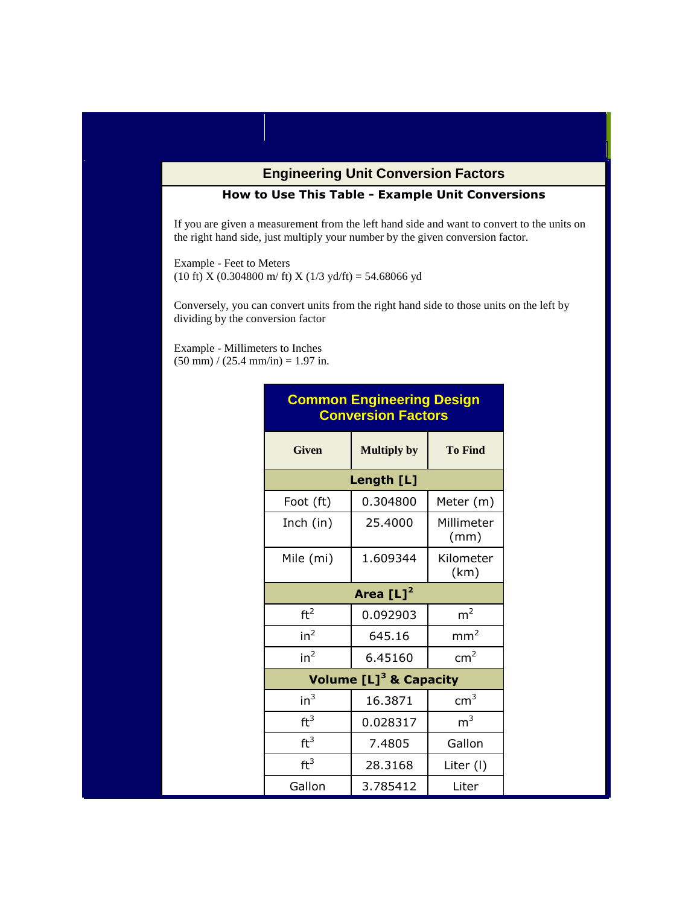## **Engineering Unit Conversion Factors**

## **How to Use This Table - Example Unit Conversions**

If you are given a measurement from the left hand side and want to convert to the units on the right hand side, just multiply your number by the given conversion factor.

Example - Feet to Meters (10 ft) X (0.304800 m/ ft) X (1/3 yd/ft) = 54.68066 yd

Conversely, you can convert units from the right hand side to those units on the left by dividing by the conversion factor

Example - Millimeters to Inches  $(50 \text{ mm}) / (25.4 \text{ mm/in}) = 1.97 \text{ in.}$ 

| <b>Conversion Factors</b> |                                      |                    |  |  |  |
|---------------------------|--------------------------------------|--------------------|--|--|--|
| <b>Given</b>              | <b>Multiply by</b>                   | <b>To Find</b>     |  |  |  |
|                           | Length [L]                           |                    |  |  |  |
| Foot (ft)                 | 0.304800                             | Meter (m)          |  |  |  |
| Inch (in)                 | 25,4000                              | Millimeter<br>(mm) |  |  |  |
| Mile (mi)                 | 1.609344                             | Kilometer<br>(km)  |  |  |  |
|                           | Area $[L]^2$                         |                    |  |  |  |
| ft <sup>2</sup>           | 0.092903                             | m <sup>2</sup>     |  |  |  |
| in <sup>2</sup>           | 645.16                               | mm <sup>2</sup>    |  |  |  |
| in <sup>2</sup>           | 6.45160                              | cm <sup>2</sup>    |  |  |  |
|                           | Volume $[L]$ <sup>3</sup> & Capacity |                    |  |  |  |
| in <sup>3</sup>           | 16.3871                              | $\text{cm}^3$      |  |  |  |
| ft <sup>3</sup>           | 0.028317                             | m <sup>3</sup>     |  |  |  |
| ft <sup>3</sup>           | 7.4805                               | Gallon             |  |  |  |
| ft <sup>3</sup>           | 28.3168                              | Liter (I)          |  |  |  |
| Gallon                    | 3.785412                             | Liter              |  |  |  |

## **Common Engineering Design Conversion Factors**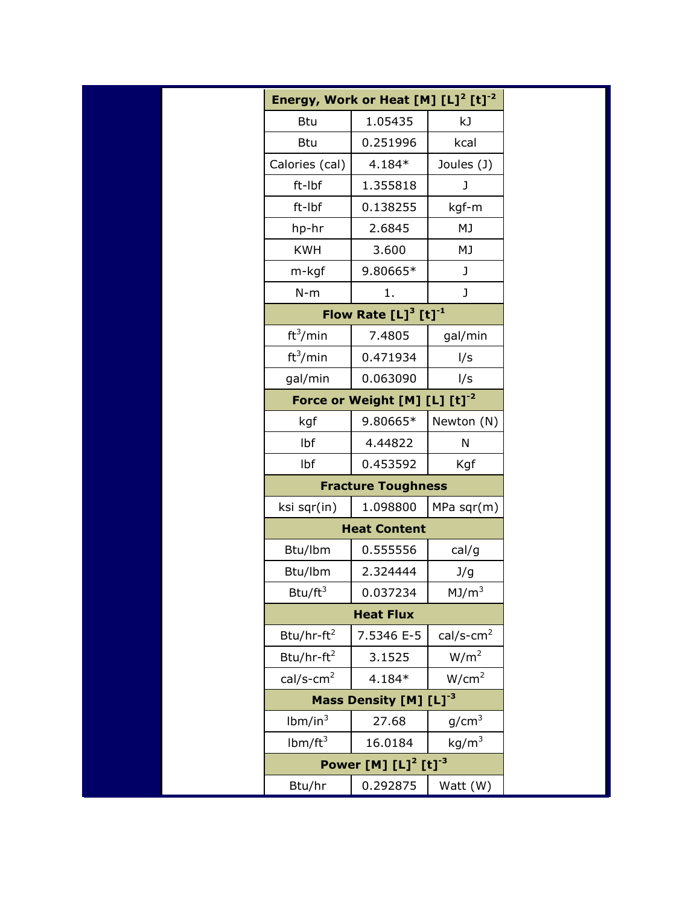| Energy, Work or Heat $[M] [L]^2 [t]^{-2}$ |                     |                          |  |
|-------------------------------------------|---------------------|--------------------------|--|
| <b>Btu</b>                                | 1.05435             | kJ                       |  |
| <b>Btu</b>                                | 0.251996            | kcal                     |  |
| Calories (cal)                            | 4.184*              | Joules (J)               |  |
| ft-Ibf                                    | 1.355818            | J                        |  |
| ft-Ibf                                    | 0.138255            | kgf-m                    |  |
| hp-hr                                     | 2.6845              | MJ                       |  |
| <b>KWH</b>                                | 3.600               | MJ                       |  |
| m-kgf                                     | 9.80665*            | J                        |  |
| $N-m$                                     | 1.                  | J                        |  |
| Flow Rate $[L]^3$ $[t]^{-1}$              |                     |                          |  |
| ft <sup>3</sup> /min                      | 7.4805              | gal/min                  |  |
| ft <sup>3</sup> /min                      | 0.471934            | I/s                      |  |
| gal/min                                   | 0.063090            | I/s                      |  |
| Force or Weight $[M] [L] [t]^{-2}$        |                     |                          |  |
| kgf                                       | 9.80665*            | Newton (N)               |  |
| Ibf                                       | 4.44822             | N                        |  |
| Ibf                                       | 0.453592            | Kgf                      |  |
| <b>Fracture Toughness</b>                 |                     |                          |  |
| ksi sqr(in)                               | 1.098800            | $MPa$ sqr $(m)$          |  |
|                                           | <b>Heat Content</b> |                          |  |
| Btu/lbm                                   | 0.555556            | cal/g                    |  |
| Btu/lbm                                   | 2.324444            | J/g                      |  |
| Btu/ $ft^3$                               | 0.037234            | MJ/m <sup>3</sup>        |  |
| <b>Heat Flux</b>                          |                     |                          |  |
| $Btu/hr-ft2$                              | 7.5346 E-5          | $cal/s$ -cm <sup>2</sup> |  |
| Btu/hr-ft <sup>2</sup>                    | 3.1525              | W/m <sup>2</sup>         |  |
| $cal/s$ -cm <sup>2</sup>                  | 4.184*              | W/cm <sup>2</sup>        |  |
| Mass Density [M] [L] <sup>-3</sup>        |                     |                          |  |
| lbm/in <sup>3</sup>                       | 27.68               | g/cm <sup>3</sup>        |  |
| lbm/ft <sup>3</sup>                       | 16.0184             | kg/m <sup>3</sup>        |  |
| Power [M] $[L]^2$ [t] <sup>-3</sup>       |                     |                          |  |
| Btu/hr                                    | 0.292875            | Watt (W)                 |  |